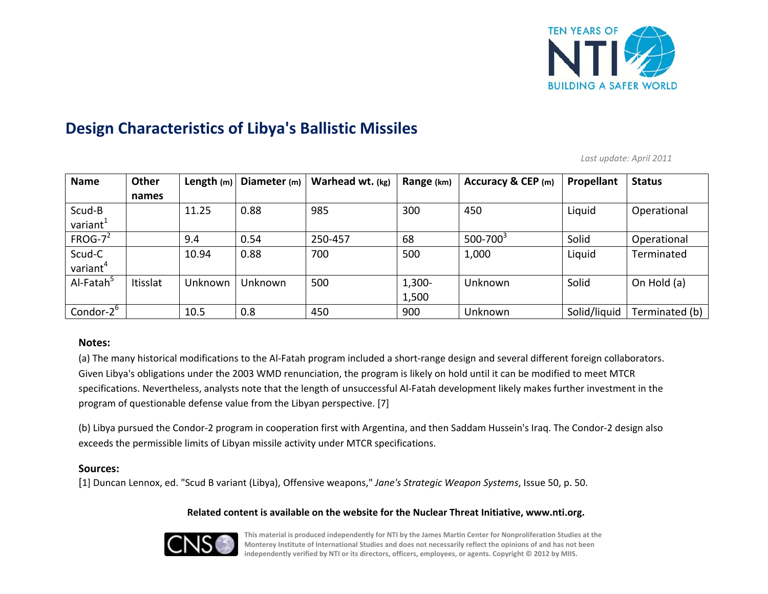

# **Design Characteristics of Libya's Ballistic Missiles**

*Last update: April 2011*

| <b>Name</b>           | Other    | Length $(m)$ | Diameter (m) | Warhead wt. (kg) | Range (km) | Accuracy & CEP (m) | Propellant   | <b>Status</b>  |
|-----------------------|----------|--------------|--------------|------------------|------------|--------------------|--------------|----------------|
|                       | names    |              |              |                  |            |                    |              |                |
| Scud-B                |          | 11.25        | 0.88         | 985              | 300        | 450                | Liquid       | Operational    |
| variant <sup>1</sup>  |          |              |              |                  |            |                    |              |                |
| $FROG-7^2$            |          | 9.4          | 0.54         | 250-457          | 68         | $500 - 700^3$      | Solid        | Operational    |
| Scud-C                |          | 10.94        | 0.88         | 700              | 500        | 1,000              | Liquid       | Terminated     |
| variant <sup>4</sup>  |          |              |              |                  |            |                    |              |                |
| Al-Fatah <sup>5</sup> | Itisslat | Unknown      | Unknown      | 500              | $1,300-$   | <b>Unknown</b>     | Solid        | On Hold (a)    |
|                       |          |              |              |                  | 1,500      |                    |              |                |
| Condor-2 <sup>b</sup> |          | 10.5         | 0.8          | 450              | 900        | Unknown            | Solid/liquid | Terminated (b) |

## **Notes:**

(a) The many historical modifications to the Al‐Fatah program included <sup>a</sup> short‐range design and several different foreign collaborators. Given Libya's obligations under the 2003 WMD renunciation, the program is likely on hold until it can be modified to meet MTCR specifications. Nevertheless, analysts note that the length of unsuccessful Al‐Fatah development likely makes further investment in the program of questionable defense value from the Libyan perspective. [7]

(b) Libya pursued the Condor‐2 program in cooperation first with Argentina, and then Saddam Hussein's Iraq. The Condor‐2 design also exceeds the permissible limits of Libyan missile activity under MTCR specifications.

## **Sources:**

[1] Duncan Lennox, ed. "Scud <sup>B</sup> variant (Libya), Offensive weapons," *Jane's Strategic Weapon Systems*, Issue 50, p. 50.

## **Related content is available on the website for the Nuclear Threat Initiative, www.nti.org.**



This material is produced independently for NTI by the James Martin Center for Nonproliferation Studies at the Monterey Institute of International Studies and does not necessarily reflect the opinions of and has not been **independently verified by NTI or its directors, officers, employees, or agents. Copyright © 2012 by MIIS.**